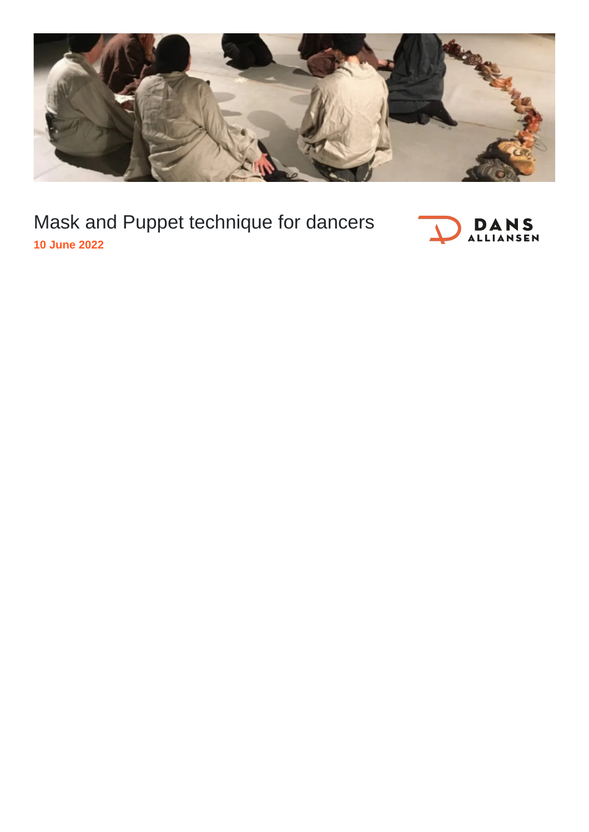

Mask and Puppet technique for dancers **10 June 2022**